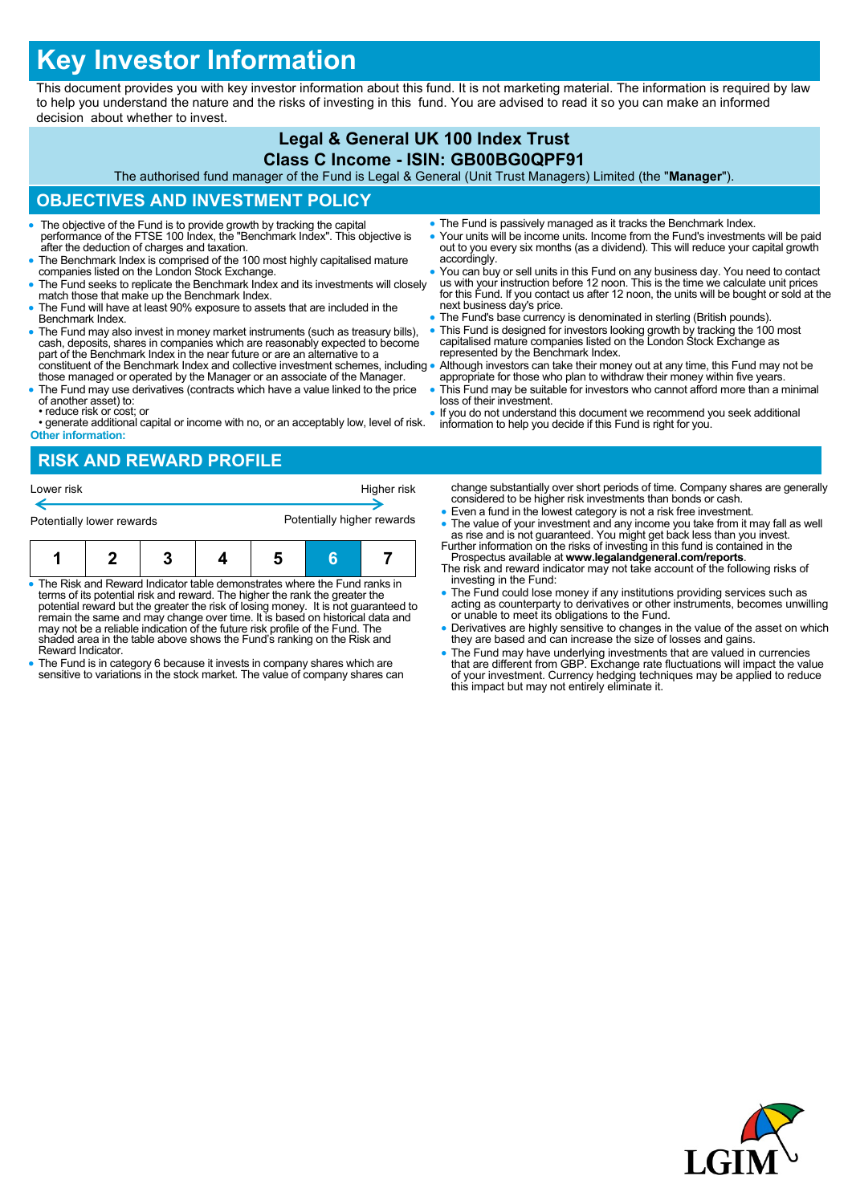# **Key Investor Information**

This document provides you with key investor information about this fund. It is not marketing material. The information is required by law to help you understand the nature and the risks of investing in this fund. You are advised to read it so you can make an informed decision about whether to invest.

#### **Legal & General UK 100 Index Trust Class C Income - ISIN: GB00BG0QPF91**

The authorised fund manager of the Fund is Legal & General (Unit Trust Managers) Limited (the "**Manager**").

## **OBJECTIVES AND INVESTMENT POLICY**

- The objective of the Fund is to provide growth by tracking the capital performance of the FTSE 100 Index, the "Benchmark Index". This objective is after the deduction of charges and taxation.
- The Benchmark Index is comprised of the 100 most highly capitalised mature companies listed on the London Stock Exchange.
- The Fund seeks to replicate the Benchmark Index and its investments will closely match those that make up the Benchmark Index.
- The Fund will have at least 90% exposure to assets that are included in the Benchmark Index.
- The Fund may also invest in money market instruments (such as treasury bills), cash, deposits, shares in companies which are reasonably expected to become part of the Benchmark Index in the near future or are an alternative to a constituent of the Benchmark Index and collective investment schemes, including
- those managed or operated by the Manager or an associate of the Manager. The Fund may use derivatives (contracts which have a value linked to the price
- of another asset) to: • reduce risk or cost; or
- generate additional capital or income with no, or an acceptably low, level of risk. **Other information:**

### **RISK AND REWARD PROFILE**

| Lower risk                |  |  |  | Higher risk                |  |  |  |
|---------------------------|--|--|--|----------------------------|--|--|--|
| Potentially lower rewards |  |  |  | Potentially higher rewards |  |  |  |
| п                         |  |  |  |                            |  |  |  |

- The Risk and Reward Indicator table demonstrates where the Fund ranks in terms of its potential risk and reward. The higher the rank the greater the potential reward but the greater the risk of losing money. It is not guaranteed to remain the same and may change over time. It is based on historical data and may not be a reliable indication of the future risk profile of the Fund. The shaded area in the table above shows the Fund's ranking on the Risk and Reward Indicator.
- The Fund is in category 6 because it invests in company shares which are sensitive to variations in the stock market. The value of company shares can
- The Fund is passively managed as it tracks the Benchmark Index.
- Your units will be income units. Income from the Fund's investments will be paid out to you every six months (as a dividend). This will reduce your capital growth accordingly.
- You can buy or sell units in this Fund on any business day. You need to contact us with your instruction before 12 noon. This is the time we calculate unit prices for this Fund. If you contact us after 12 noon, the units will be bought or sold at the next business day's price.
- The Fund's base currency is denominated in sterling (British pounds).
- This Fund is designed for investors looking growth by tracking the 100 most capitalised mature companies listed on the London Stock Exchange as represented by the Benchmark Index.
- Although investors can take their money out at any time, this Fund may not be appropriate for those who plan to withdraw their money within five years.
- This Fund may be suitable for investors who cannot afford more than a minimal loss of their investment.
- If you do not understand this document we recommend you seek additional information to help you decide if this Fund is right for you.

change substantially over short periods of time. Company shares are generally considered to be higher risk investments than bonds or cash.

- Even a fund in the lowest category is not a risk free investment.
- The value of your investment and any income you take from it may fall as well as rise and is not guaranteed. You might get back less than you invest. Further information on the risks of investing in this fund is containe
- Prospectus available at **www.legalandgeneral.com/reports**. The risk and reward indicator may not take account of the following risks of
- investing in the Fund: The Fund could lose money if any institutions providing services such as acting as counterparty to derivatives or other instruments, becomes unwilling or unable to meet its obligations to the Fund.
- Derivatives are highly sensitive to changes in the value of the asset on which they are based and can increase the size of losses and gains.
- The Fund may have underlying investments that are valued in currencies<br>that are different from GBP. Exchange rate fluctuations will impact the value<br>of your investment. Currency hedging techniques may be applied to reduc